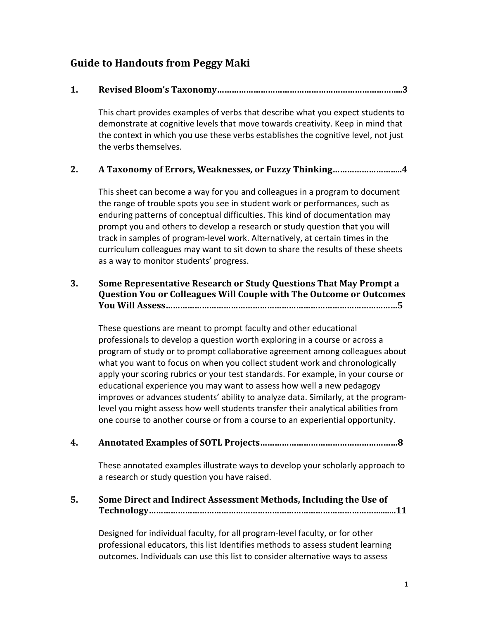# **Guide to Handouts from Peggy Maki**

|--|--|

This chart provides examples of verbs that describe what you expect students to demonstrate at cognitive levels that move towards creativity. Keep in mind that the context in which you use these verbs establishes the cognitive level, not just the verbs themselves.

# 2. A Taxonomy of Errors, Weaknesses, or Fuzzy Thinking...........................4

This sheet can become a way for you and colleagues in a program to document the range of trouble spots you see in student work or performances, such as enduring patterns of conceptual difficulties. This kind of documentation may prompt you and others to develop a research or study question that you will track in samples of program-level work. Alternatively, at certain times in the curriculum colleagues may want to sit down to share the results of these sheets as a way to monitor students' progress.

**3.** Some Representative Research or Study Questions That May Prompt a **Question You or Colleagues Will Couple with The Outcome or Outcomes You Will Assess……………………………………………………………………………………5**

These questions are meant to prompt faculty and other educational professionals to develop a question worth exploring in a course or across a program of study or to prompt collaborative agreement among colleagues about what you want to focus on when you collect student work and chronologically apply your scoring rubrics or your test standards. For example, in your course or educational experience you may want to assess how well a new pedagogy improves or advances students' ability to analyze data. Similarly, at the programlevel you might assess how well students transfer their analytical abilities from one course to another course or from a course to an experiential opportunity.

**4. Annotated Examples of SOTL Projects…………………………………………………8**

These annotated examples illustrate ways to develop your scholarly approach to a research or study question you have raised.

**5.** Some Direct and Indirect Assessment Methods, Including the Use of **Technology…………………………………………………………………………………….......11**

Designed for individual faculty, for all program-level faculty, or for other professional educators, this list Identifies methods to assess student learning outcomes. Individuals can use this list to consider alternative ways to assess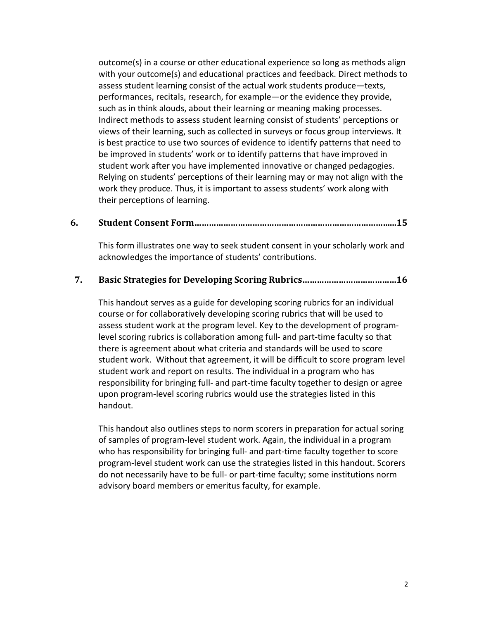outcome(s) in a course or other educational experience so long as methods align with your outcome(s) and educational practices and feedback. Direct methods to assess student learning consist of the actual work students produce—texts, performances, recitals, research, for example-or the evidence they provide, such as in think alouds, about their learning or meaning making processes. Indirect methods to assess student learning consist of students' perceptions or views of their learning, such as collected in surveys or focus group interviews. It is best practice to use two sources of evidence to identify patterns that need to be improved in students' work or to identify patterns that have improved in student work after you have implemented innovative or changed pedagogies. Relying on students' perceptions of their learning may or may not align with the work they produce. Thus, it is important to assess students' work along with their perceptions of learning.

### **6. Student Consent Form………………………………………………………………………...15**

This form illustrates one way to seek student consent in your scholarly work and acknowledges the importance of students' contributions.

#### **7. Basic Strategies for Developing Scoring Rubrics…………………………………16**

This handout serves as a guide for developing scoring rubrics for an individual course or for collaboratively developing scoring rubrics that will be used to assess student work at the program level. Key to the development of programlevel scoring rubrics is collaboration among full- and part-time faculty so that there is agreement about what criteria and standards will be used to score student work. Without that agreement, it will be difficult to score program level student work and report on results. The individual in a program who has responsibility for bringing full- and part-time faculty together to design or agree upon program-level scoring rubrics would use the strategies listed in this handout.

This handout also outlines steps to norm scorers in preparation for actual soring of samples of program-level student work. Again, the individual in a program who has responsibility for bringing full- and part-time faculty together to score program-level student work can use the strategies listed in this handout. Scorers do not necessarily have to be full- or part-time faculty; some institutions norm advisory board members or emeritus faculty, for example.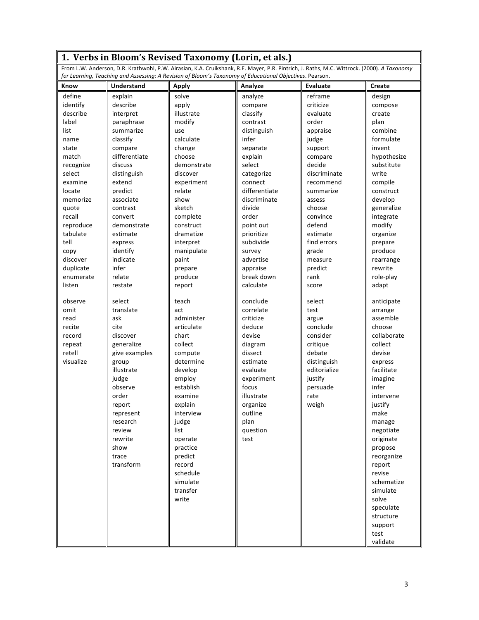#### 1. Verbs in Bloom's Revised Taxonomy (Lorin, et als.) From L.W. Anderson, D.R. Krathwohl, P.W. Airasian, K.A. Cruikshank, R.E. Mayer, P.R. Pintrich, J. Raths, M.C. Wittrock. (2000). A Taxonomy for Learning, Teaching and Assessing: A Revision of Bloom's Taxonomy of Educational Objectives. Pearson. **Know Understand Apply Analyze Evaluate Create** define explain solve analyze reframe design identify describe apply compare criticize compose describe interpret illustrate is classify in evaluate in create label || paraphrase || modify || contrast || order || plan list  $\parallel$  summarize  $\parallel$  use  $\parallel$  distinguish  $\parallel$  appraise  $\parallel$  combine name  $\parallel$  classify  $\parallel$  calculate  $\parallel$  infer  $\parallel$  judge  $\parallel$  formulate state || compare || change inventessed in support invent match differentiate choose and explain the compare hypothesize recognize discuss demonstrate select decide substitute select  $\parallel$  distinguish  $\parallel$  discover  $\parallel$  categorize  $\parallel$  discriminate  $\parallel$  write examine || extend || experiment || connect || recommend || compile locate predict relate differentiate summarize construct memorize  $\parallel$  associate  $\parallel$  show  $\parallel$  discriminate  $\parallel$  assess  $\parallel$  develop quote  $\parallel$  contrast  $\parallel$  sketch  $\parallel$  divide  $\parallel$  choose  $\parallel$  generalize recall  $\parallel$  convert  $\parallel$  complete  $\parallel$  order  $\parallel$  convince  $\parallel$  integrate reproduce demonstrate demonstruct demonstruct defend defend modify tabulate || estimate || dramatize || prioritize || estimate || organize tell  $\parallel$  express  $\parallel$  interpret  $\parallel$  subdivide  $\parallel$  find errors  $\parallel$  prepare copy identify manipulate survey grade produce discover || indicate || paint || advertise || measure || rearrange duplicate infer inference into prepare in appraise in predict in rewrite enumerate relate produce produce break down frank prole-play listen restate report calculate score adapt observe select select teach select select select select select select select select select select select selec omit || translate || act || correlate || test || arrange read || ask || administer || criticize || argue || assemble recite  $\parallel$  cite  $\parallel$  articulate  $\parallel$  deduce  $\parallel$  conclude  $\parallel$  choose record || discover || chart || devise || consider || collaborate repeat generalize collect diagram critique collect retell  $\parallel$  give examples  $\parallel$  compute  $\parallel$  dissect  $\parallel$  debate  $\parallel$  devise visualize group determine estimate distinguish express illustrate develop evaluate editorialize facilitate judge employ experiment justify imagine observe **e**stablish **focus** persuade infer order **intervene** illustrate **intervene** intervene report || explain || organize || weigh || justify represent interview outline make research judge plan manage review list question negotiate rewrite | operate | test | test | originate show **practice the propose of the propose** propose trace predict  $\|\cdot\|$  predict  $\|\cdot\|$  reorganize transform record report schedule revise simulate  $\|\cdot\|$   $\|\cdot\|$  schematize transfer **simulate** transfer simulate transfer simulate write  $\|\hspace{1cm}\|$  solve speculate structure support test validate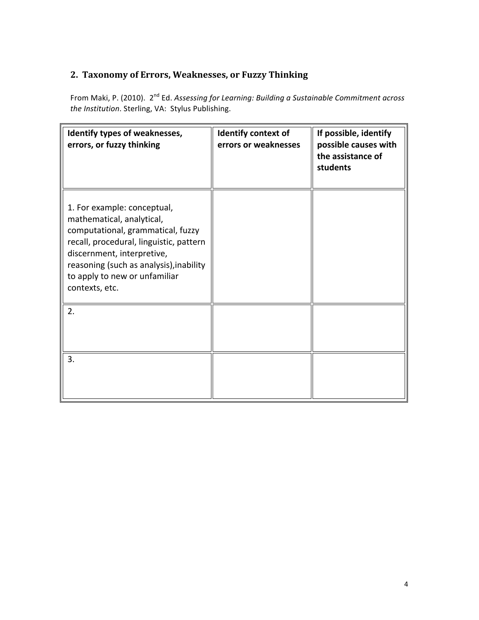# **2. Taxonomy of Errors, Weaknesses, or Fuzzy Thinking**

From Maki, P. (2010). 2<sup>nd</sup> Ed. Assessing for Learning: Building a Sustainable Commitment across the Institution. Sterling, VA: Stylus Publishing.

| Identify types of weaknesses,<br>errors, or fuzzy thinking                                                                                                                                                                                                           | <b>Identify context of</b><br>errors or weaknesses | If possible, identify<br>possible causes with<br>the assistance of<br>students |
|----------------------------------------------------------------------------------------------------------------------------------------------------------------------------------------------------------------------------------------------------------------------|----------------------------------------------------|--------------------------------------------------------------------------------|
| 1. For example: conceptual,<br>mathematical, analytical,<br>computational, grammatical, fuzzy<br>recall, procedural, linguistic, pattern<br>discernment, interpretive,<br>reasoning (such as analysis), inability<br>to apply to new or unfamiliar<br>contexts, etc. |                                                    |                                                                                |
| 2.                                                                                                                                                                                                                                                                   |                                                    |                                                                                |
| 3.                                                                                                                                                                                                                                                                   |                                                    |                                                                                |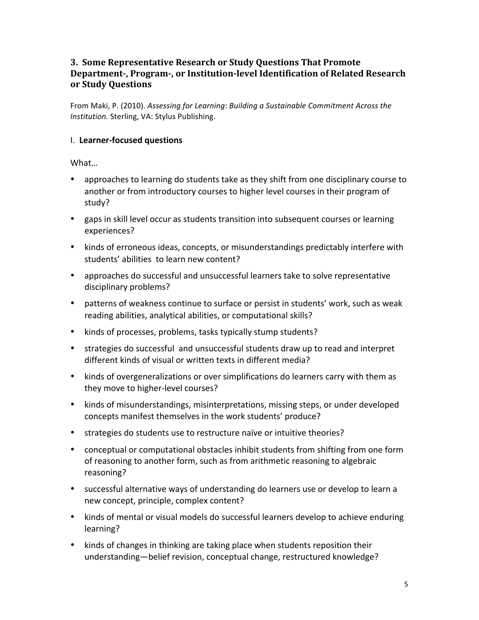# **3. Some Representative Research or Study Questions That Promote** Department-, Program-, or Institution-level Identification of Related Research **or Study Questions**

From Maki, P. (2010). Assessing for Learning: Building a Sustainable Commitment Across the *Institution.* Sterling, VA: Stylus Publishing.

# I. **Learner-focused questions**

What…

- approaches to learning do students take as they shift from one disciplinary course to another or from introductory courses to higher level courses in their program of study?
- gaps in skill level occur as students transition into subsequent courses or learning experiences?
- kinds of erroneous ideas, concepts, or misunderstandings predictably interfere with students' abilities to learn new content?
- approaches do successful and unsuccessful learners take to solve representative disciplinary problems?
- patterns of weakness continue to surface or persist in students' work, such as weak reading abilities, analytical abilities, or computational skills?
- kinds of processes, problems, tasks typically stump students?
- strategies do successful and unsuccessful students draw up to read and interpret different kinds of visual or written texts in different media?
- kinds of overgeneralizations or over simplifications do learners carry with them as they move to higher-level courses?
- kinds of misunderstandings, misinterpretations, missing steps, or under developed concepts manifest themselves in the work students' produce?
- strategies do students use to restructure naïve or intuitive theories?
- conceptual or computational obstacles inhibit students from shifting from one form of reasoning to another form, such as from arithmetic reasoning to algebraic reasoning?
- successful alternative ways of understanding do learners use or develop to learn a new concept, principle, complex content?
- kinds of mental or visual models do successful learners develop to achieve enduring learning?
- kinds of changes in thinking are taking place when students reposition their understanding—belief revision, conceptual change, restructured knowledge?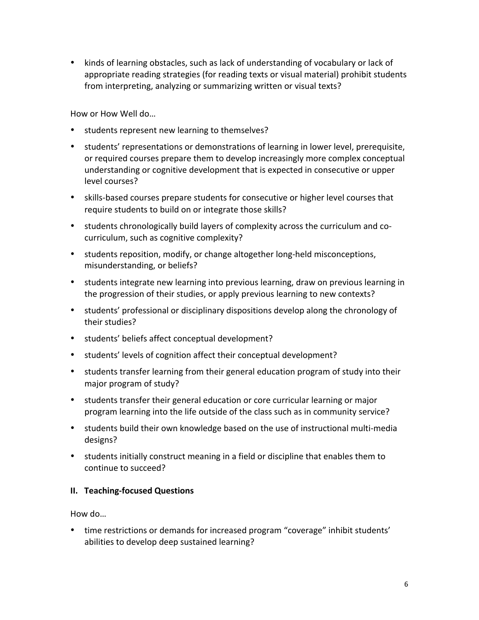• kinds of learning obstacles, such as lack of understanding of vocabulary or lack of appropriate reading strategies (for reading texts or visual material) prohibit students from interpreting, analyzing or summarizing written or visual texts?

How or How Well do...

- students represent new learning to themselves?
- students' representations or demonstrations of learning in lower level, prerequisite, or required courses prepare them to develop increasingly more complex conceptual understanding or cognitive development that is expected in consecutive or upper level courses?
- skills-based courses prepare students for consecutive or higher level courses that require students to build on or integrate those skills?
- students chronologically build layers of complexity across the curriculum and cocurriculum, such as cognitive complexity?
- students reposition, modify, or change altogether long-held misconceptions, misunderstanding, or beliefs?
- students integrate new learning into previous learning, draw on previous learning in the progression of their studies, or apply previous learning to new contexts?
- students' professional or disciplinary dispositions develop along the chronology of their studies?
- students' beliefs affect conceptual development?
- students' levels of cognition affect their conceptual development?
- students transfer learning from their general education program of study into their major program of study?
- students transfer their general education or core curricular learning or major program learning into the life outside of the class such as in community service?
- students build their own knowledge based on the use of instructional multi-media designs?
- students initially construct meaning in a field or discipline that enables them to continue to succeed?

# **II.** Teaching-focused Questions

How do…

• time restrictions or demands for increased program "coverage" inhibit students' abilities to develop deep sustained learning?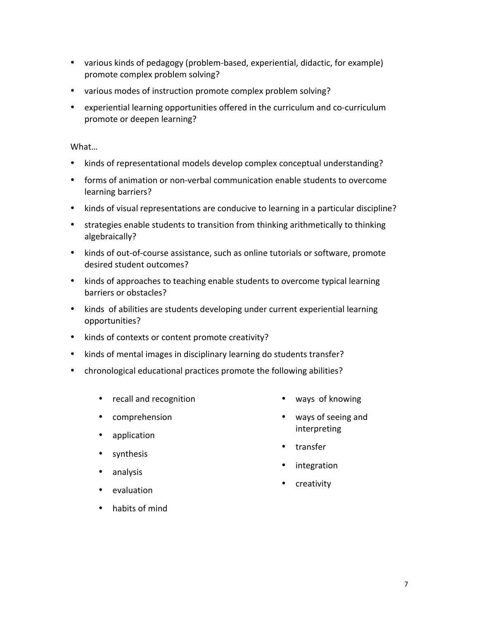- various kinds of pedagogy (problem-based, experiential, didactic, for example) promote complex problem solving?
- various modes of instruction promote complex problem solving?
- experiential learning opportunities offered in the curriculum and co-curriculum promote or deepen learning?

What…

- kinds of representational models develop complex conceptual understanding?
- forms of animation or non-verbal communication enable students to overcome learning barriers?
- kinds of visual representations are conducive to learning in a particular discipline?
- strategies enable students to transition from thinking arithmetically to thinking algebraically?
- kinds of out-of-course assistance, such as online tutorials or software, promote desired student outcomes?
- kinds of approaches to teaching enable students to overcome typical learning barriers or obstacles?
- kinds of abilities are students developing under current experiential learning opportunities?
- kinds of contexts or content promote creativity?
- kinds of mental images in disciplinary learning do students transfer?
- chronological educational practices promote the following abilities?
	- recall and recognition
	- comprehension
- ways of knowing
- ways of seeing and interpreting
	- transfer
	- integration

• analysis

• synthesis

• evaluation

• application 

• creativity

• habits of mind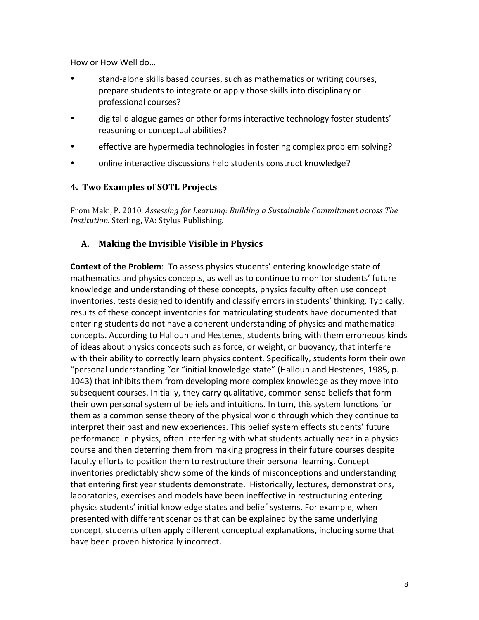How or How Well do...

- stand-alone skills based courses, such as mathematics or writing courses, prepare students to integrate or apply those skills into disciplinary or professional courses?
- digital dialogue games or other forms interactive technology foster students' reasoning or conceptual abilities?
- effective are hypermedia technologies in fostering complex problem solving?
- online interactive discussions help students construct knowledge?

# **4. Two Examples of SOTL Projects**

From Maki, P. 2010. Assessing for Learning: Building a Sustainable Commitment across The *Institution.* Sterling, VA: Stylus Publishing.

# **A. Making the Invisible Visible in Physics**

**Context of the Problem**: To assess physics students' entering knowledge state of mathematics and physics concepts, as well as to continue to monitor students' future knowledge and understanding of these concepts, physics faculty often use concept inventories, tests designed to identify and classify errors in students' thinking. Typically, results of these concept inventories for matriculating students have documented that entering students do not have a coherent understanding of physics and mathematical concepts. According to Halloun and Hestenes, students bring with them erroneous kinds of ideas about physics concepts such as force, or weight, or buoyancy, that interfere with their ability to correctly learn physics content. Specifically, students form their own "personal understanding "or "initial knowledge state" (Halloun and Hestenes, 1985, p. 1043) that inhibits them from developing more complex knowledge as they move into subsequent courses. Initially, they carry qualitative, common sense beliefs that form their own personal system of beliefs and intuitions. In turn, this system functions for them as a common sense theory of the physical world through which they continue to interpret their past and new experiences. This belief system effects students' future performance in physics, often interfering with what students actually hear in a physics course and then deterring them from making progress in their future courses despite faculty efforts to position them to restructure their personal learning. Concept inventories predictably show some of the kinds of misconceptions and understanding that entering first year students demonstrate. Historically, lectures, demonstrations, laboratories, exercises and models have been ineffective in restructuring entering physics students' initial knowledge states and belief systems. For example, when presented with different scenarios that can be explained by the same underlying concept, students often apply different conceptual explanations, including some that have been proven historically incorrect.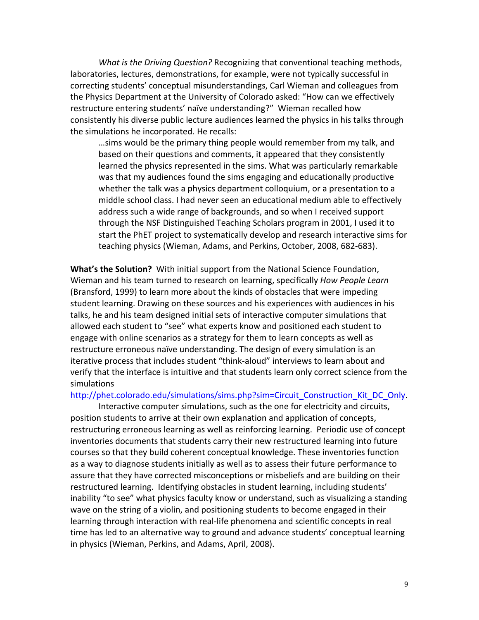*What is the Driving Question?* Recognizing that conventional teaching methods, laboratories, lectures, demonstrations, for example, were not typically successful in correcting students' conceptual misunderstandings, Carl Wieman and colleagues from the Physics Department at the University of Colorado asked: "How can we effectively restructure entering students' naïve understanding?" Wieman recalled how consistently his diverse public lecture audiences learned the physics in his talks through the simulations he incorporated. He recalls:

...sims would be the primary thing people would remember from my talk, and based on their questions and comments, it appeared that they consistently learned the physics represented in the sims. What was particularly remarkable was that my audiences found the sims engaging and educationally productive whether the talk was a physics department colloquium, or a presentation to a middle school class. I had never seen an educational medium able to effectively address such a wide range of backgrounds, and so when I received support through the NSF Distinguished Teaching Scholars program in 2001, I used it to start the PhET project to systematically develop and research interactive sims for teaching physics (Wieman, Adams, and Perkins, October, 2008, 682-683).

**What's the Solution?** With initial support from the National Science Foundation, Wieman and his team turned to research on learning, specifically *How People Learn* (Bransford, 1999) to learn more about the kinds of obstacles that were impeding student learning. Drawing on these sources and his experiences with audiences in his talks, he and his team designed initial sets of interactive computer simulations that allowed each student to "see" what experts know and positioned each student to engage with online scenarios as a strategy for them to learn concepts as well as restructure erroneous naïve understanding. The design of every simulation is an iterative process that includes student "think-aloud" interviews to learn about and verify that the interface is intuitive and that students learn only correct science from the simulations 

#### http://phet.colorado.edu/simulations/sims.php?sim=Circuit\_Construction\_Kit\_DC\_Only.

Interactive computer simulations, such as the one for electricity and circuits, position students to arrive at their own explanation and application of concepts, restructuring erroneous learning as well as reinforcing learning. Periodic use of concept inventories documents that students carry their new restructured learning into future courses so that they build coherent conceptual knowledge. These inventories function as a way to diagnose students initially as well as to assess their future performance to assure that they have corrected misconceptions or misbeliefs and are building on their restructured learning. Identifying obstacles in student learning, including students' inability "to see" what physics faculty know or understand, such as visualizing a standing wave on the string of a violin, and positioning students to become engaged in their learning through interaction with real-life phenomena and scientific concepts in real time has led to an alternative way to ground and advance students' conceptual learning in physics (Wieman, Perkins, and Adams, April, 2008).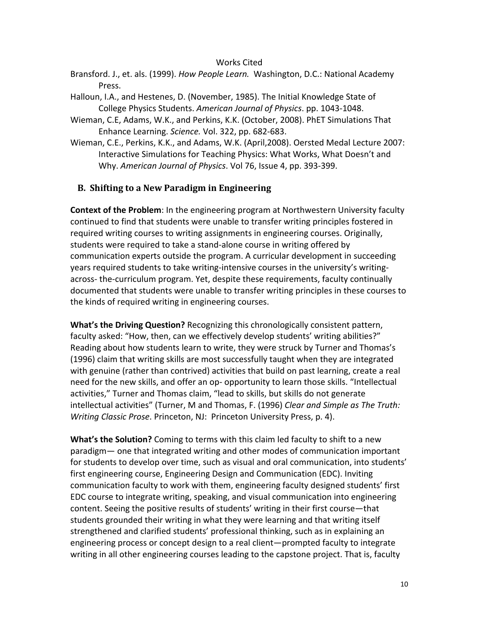#### Works Cited

- Bransford. J., et. als. (1999). *How People Learn.* Washington, D.C.: National Academy Press.
- Halloun, I.A., and Hestenes, D. (November, 1985). The Initial Knowledge State of College Physics Students. American Journal of Physics. pp. 1043-1048.
- Wieman, C.E, Adams, W.K., and Perkins, K.K. (October, 2008). PhET Simulations That Enhance Learning. *Science.* Vol. 322, pp. 682-683.
- Wieman, C.E., Perkins, K.K., and Adams, W.K. (April,2008). Oersted Medal Lecture 2007: Interactive Simulations for Teaching Physics: What Works, What Doesn't and Why. American Journal of Physics. Vol 76, Issue 4, pp. 393-399.

### **B. Shifting to a New Paradigm in Engineering**

**Context of the Problem**: In the engineering program at Northwestern University faculty continued to find that students were unable to transfer writing principles fostered in required writing courses to writing assignments in engineering courses. Originally, students were required to take a stand-alone course in writing offered by communication experts outside the program. A curricular development in succeeding years required students to take writing-intensive courses in the university's writingacross- the-curriculum program. Yet, despite these requirements, faculty continually documented that students were unable to transfer writing principles in these courses to the kinds of required writing in engineering courses.

**What's the Driving Question?** Recognizing this chronologically consistent pattern, faculty asked: "How, then, can we effectively develop students' writing abilities?" Reading about how students learn to write, they were struck by Turner and Thomas's (1996) claim that writing skills are most successfully taught when they are integrated with genuine (rather than contrived) activities that build on past learning, create a real need for the new skills, and offer an op- opportunity to learn those skills. "Intellectual activities," Turner and Thomas claim, "lead to skills, but skills do not generate intellectual activities" (Turner, M and Thomas, F. (1996) *Clear and Simple as The Truth: Writing Classic Prose. Princeton, NJ: Princeton University Press, p. 4).* 

**What's the Solution?** Coming to terms with this claim led faculty to shift to a new paradigm— one that integrated writing and other modes of communication important for students to develop over time, such as visual and oral communication, into students' first engineering course, Engineering Design and Communication (EDC). Inviting communication faculty to work with them, engineering faculty designed students' first EDC course to integrate writing, speaking, and visual communication into engineering content. Seeing the positive results of students' writing in their first course—that students grounded their writing in what they were learning and that writing itself strengthened and clarified students' professional thinking, such as in explaining an engineering process or concept design to a real client—prompted faculty to integrate writing in all other engineering courses leading to the capstone project. That is, faculty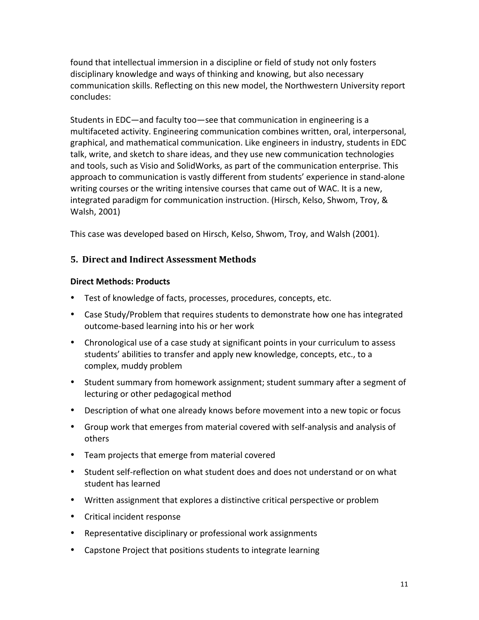found that intellectual immersion in a discipline or field of study not only fosters disciplinary knowledge and ways of thinking and knowing, but also necessary communication skills. Reflecting on this new model, the Northwestern University report concludes:

Students in EDC—and faculty too—see that communication in engineering is a multifaceted activity. Engineering communication combines written, oral, interpersonal, graphical, and mathematical communication. Like engineers in industry, students in EDC talk, write, and sketch to share ideas, and they use new communication technologies and tools, such as Visio and SolidWorks, as part of the communication enterprise. This approach to communication is vastly different from students' experience in stand-alone writing courses or the writing intensive courses that came out of WAC. It is a new, integrated paradigm for communication instruction. (Hirsch, Kelso, Shwom, Troy, & Walsh, 2001)

This case was developed based on Hirsch, Kelso, Shwom, Troy, and Walsh (2001).

# **5. Direct and Indirect Assessment Methods**

### **Direct Methods: Products**

- Test of knowledge of facts, processes, procedures, concepts, etc.
- Case Study/Problem that requires students to demonstrate how one has integrated outcome-based learning into his or her work
- Chronological use of a case study at significant points in your curriculum to assess students' abilities to transfer and apply new knowledge, concepts, etc., to a complex, muddy problem
- Student summary from homework assignment; student summary after a segment of lecturing or other pedagogical method
- Description of what one already knows before movement into a new topic or focus
- Group work that emerges from material covered with self-analysis and analysis of others
- Team projects that emerge from material covered
- Student self-reflection on what student does and does not understand or on what student has learned
- Written assignment that explores a distinctive critical perspective or problem
- Critical incident response
- Representative disciplinary or professional work assignments
- Capstone Project that positions students to integrate learning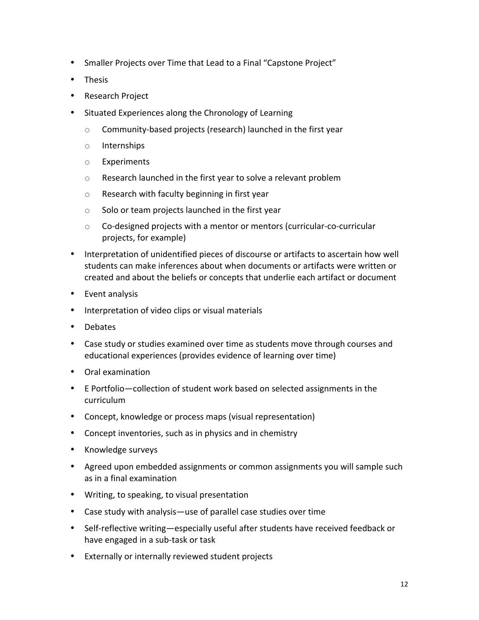- Smaller Projects over Time that Lead to a Final "Capstone Project"
- Thesis
- Research Project
- Situated Experiences along the Chronology of Learning
	- $\circ$  Community-based projects (research) launched in the first year
	- o Internships
	- o Experiments
	- $\circ$  Research launched in the first year to solve a relevant problem
	- $\circ$  Research with faculty beginning in first year
	- $\circ$  Solo or team projects launched in the first year
	- $\circ$  Co-designed projects with a mentor or mentors (curricular-co-curricular projects, for example)
- Interpretation of unidentified pieces of discourse or artifacts to ascertain how well students can make inferences about when documents or artifacts were written or created and about the beliefs or concepts that underlie each artifact or document
- Event analysis
- Interpretation of video clips or visual materials
- Debates
- Case study or studies examined over time as students move through courses and educational experiences (provides evidence of learning over time)
- Oral examination
- E Portfolio—collection of student work based on selected assignments in the curriculum
- Concept, knowledge or process maps (visual representation)
- Concept inventories, such as in physics and in chemistry
- Knowledge surveys
- Agreed upon embedded assignments or common assignments you will sample such as in a final examination
- Writing, to speaking, to visual presentation
- Case study with analysis—use of parallel case studies over time
- Self-reflective writing—especially useful after students have received feedback or have engaged in a sub-task or task
- Externally or internally reviewed student projects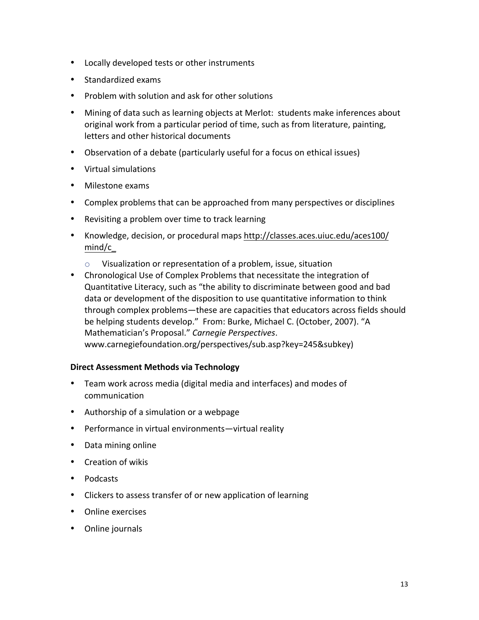- Locally developed tests or other instruments
- Standardized exams
- Problem with solution and ask for other solutions
- Mining of data such as learning objects at Merlot: students make inferences about original work from a particular period of time, such as from literature, painting, letters and other historical documents
- Observation of a debate (particularly useful for a focus on ethical issues)
- Virtual simulations
- Milestone exams
- Complex problems that can be approached from many perspectives or disciplines
- Revisiting a problem over time to track learning
- Knowledge, decision, or procedural maps http://classes.aces.uiuc.edu/aces100/ mind/c\_
	- $\circ$  Visualization or representation of a problem, issue, situation
- Chronological Use of Complex Problems that necessitate the integration of Quantitative Literacy, such as "the ability to discriminate between good and bad data or development of the disposition to use quantitative information to think through complex problems—these are capacities that educators across fields should be helping students develop." From: Burke, Michael C. (October, 2007). "A Mathematician's Proposal." *Carnegie Perspectives*. www.carnegiefoundation.org/perspectives/sub.asp?key=245&subkey)

# **Direct Assessment Methods via Technology**

- Team work across media (digital media and interfaces) and modes of communication
- Authorship of a simulation or a webpage
- Performance in virtual environments—virtual reality
- Data mining online
- Creation of wikis
- Podcasts
- Clickers to assess transfer of or new application of learning
- Online exercises
- Online journals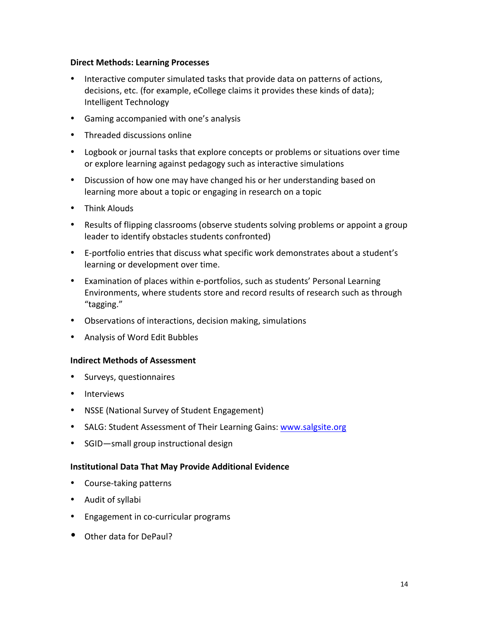### **Direct Methods: Learning Processes**

- Interactive computer simulated tasks that provide data on patterns of actions, decisions, etc. (for example, eCollege claims it provides these kinds of data); Intelligent Technology
- Gaming accompanied with one's analysis
- Threaded discussions online
- Logbook or journal tasks that explore concepts or problems or situations over time or explore learning against pedagogy such as interactive simulations
- Discussion of how one may have changed his or her understanding based on learning more about a topic or engaging in research on a topic
- Think Alouds
- Results of flipping classrooms (observe students solving problems or appoint a group leader to identify obstacles students confronted)
- E-portfolio entries that discuss what specific work demonstrates about a student's learning or development over time.
- Examination of places within e-portfolios, such as students' Personal Learning Environments, where students store and record results of research such as through "tagging."
- Observations of interactions, decision making, simulations
- Analysis of Word Edit Bubbles

#### **Indirect Methods of Assessment**

- Surveys, questionnaires
- Interviews
- NSSE (National Survey of Student Engagement)
- SALG: Student Assessment of Their Learning Gains: www.salgsite.org
- SGID—small group instructional design

#### **Institutional Data That May Provide Additional Evidence**

- Course-taking patterns
- Audit of syllabi
- Engagement in co-curricular programs
- Other data for DePaul?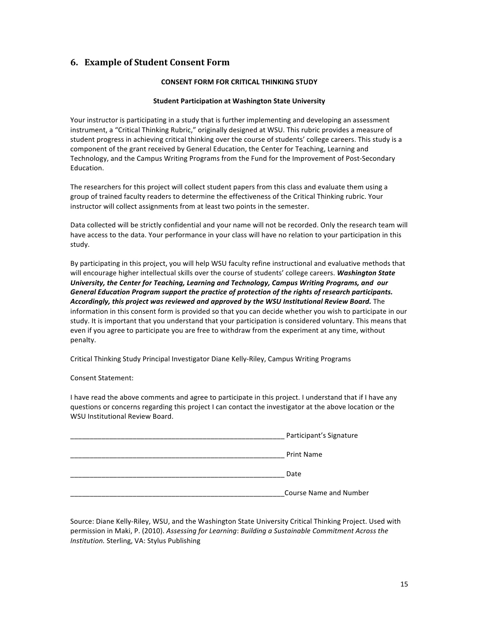### **6. Example of Student Consent Form**

#### **CONSENT FORM FOR CRITICAL THINKING STUDY**

#### **Student Participation at Washington State University**

Your instructor is participating in a study that is further implementing and developing an assessment instrument, a "Critical Thinking Rubric," originally designed at WSU. This rubric provides a measure of student progress in achieving critical thinking over the course of students' college careers. This study is a component of the grant received by General Education, the Center for Teaching, Learning and Technology, and the Campus Writing Programs from the Fund for the Improvement of Post-Secondary Education.

The researchers for this project will collect student papers from this class and evaluate them using a group of trained faculty readers to determine the effectiveness of the Critical Thinking rubric. Your instructor will collect assignments from at least two points in the semester.

Data collected will be strictly confidential and your name will not be recorded. Only the research team will have access to the data. Your performance in your class will have no relation to your participation in this study.

By participating in this project, you will help WSU faculty refine instructional and evaluative methods that will encourage higher intellectual skills over the course of students' college careers. Washington State University, the Center for Teaching, Learning and Technology, Campus Writing Programs, and our General Education Program support the practice of protection of the rights of research participants. Accordingly, this project was reviewed and approved by the WSU Institutional Review Board. The information in this consent form is provided so that you can decide whether you wish to participate in our study. It is important that you understand that your participation is considered voluntary. This means that even if you agree to participate you are free to withdraw from the experiment at any time, without penalty.

Critical Thinking Study Principal Investigator Diane Kelly-Riley, Campus Writing Programs

Consent Statement:

I have read the above comments and agree to participate in this project. I understand that if I have any questions or concerns regarding this project I can contact the investigator at the above location or the WSU Institutional Review Board.

| Participant's Signature       |
|-------------------------------|
| <b>Print Name</b>             |
| Date                          |
| <b>Course Name and Number</b> |

Source: Diane Kelly-Riley, WSU, and the Washington State University Critical Thinking Project. Used with permission in Maki, P. (2010). Assessing for Learning: Building a Sustainable Commitment Across the Institution. Sterling, VA: Stylus Publishing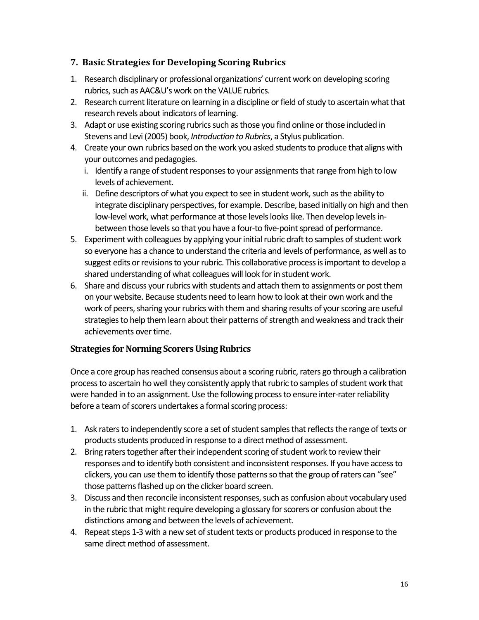# **7. Basic Strategies for Developing Scoring Rubrics**

- 1. Research disciplinary or professional organizations' current work on developing scoring rubrics, such as AAC&U's work on the VALUE rubrics.
- 2. Research current literature on learning in a discipline or field of study to ascertain what that research revels about indicators of learning.
- 3. Adapt or use existing scoring rubrics such as those you find online or those included in Stevens and Levi (2005) book, *Introduction to Rubrics*, a Stylus publication.
- 4. Create your own rubrics based on the work you asked students to produce that aligns with your outcomes and pedagogies.
	- i. Identify a range of student responses to your assignments that range from high to low levels of achievement.
	- ii. Define descriptors of what you expect to see in student work, such as the ability to integrate disciplinary perspectives, for example. Describe, based initially on high and then low-level work, what performance at those levels looks like. Then develop levels inbetween those levels so that you have a four-to five-point spread of performance.
- 5. Experiment with colleagues by applying your initial rubric draft to samples of student work so everyone has a chance to understand the criteria and levels of performance, as well as to suggest edits or revisions to your rubric. This collaborative process is important to develop a shared understanding of what colleagues will look for in student work.
- 6. Share and discuss your rubrics with students and attach them to assignments or post them on your website. Because students need to learn how to look at their own work and the work of peers, sharing your rubrics with them and sharing results of your scoring are useful strategies to help them learn about their patterns of strength and weakness and track their achievements over time.

# **Strategies for Norming Scorers Using Rubrics**

Once a core group has reached consensus about a scoring rubric, raters go through a calibration process to ascertain ho well they consistently apply that rubric to samples of student work that were handed in to an assignment. Use the following process to ensure inter-rater reliability before a team of scorers undertakes a formal scoring process:

- 1. Ask raters to independently score a set of student samples that reflects the range of texts or products students produced in response to a direct method of assessment.
- 2. Bring raters together after their independent scoring of student work to review their responses and to identify both consistent and inconsistent responses. If you have access to clickers, you can use them to identify those patterns so that the group of raters can "see" those patterns flashed up on the clicker board screen.
- 3. Discuss and then reconcile inconsistent responses, such as confusion about vocabulary used in the rubric that might require developing a glossary for scorers or confusion about the distinctions among and between the levels of achievement.
- 4. Repeat steps 1-3 with a new set of student texts or products produced in response to the same direct method of assessment.